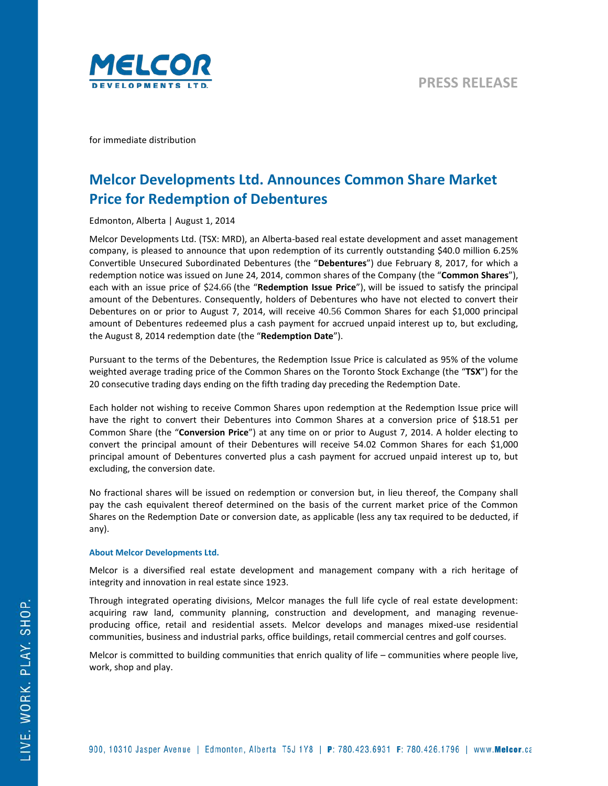

for immediate distribution

## **Melcor Developments Ltd. Announces Common Share Market Price for Redemption of Debentures**

Edmonton, Alberta | August 1, 2014

Melcor Developments Ltd. (TSX: MRD), an Alberta-based real estate development and asset management company, is pleased to announce that upon redemption of its currently outstanding \$40.0 million 6.25% Convertible Unsecured Subordinated Debentures (the "**Debentures**") due February 8, 2017, for which a redemption notice was issued on June 24, 2014, common shares of the Company (the "**Common Shares**"), each with an issue price of \$24.66 (the "**Redemption Issue Price**"), will be issued to satisfy the principal amount of the Debentures. Consequently, holders of Debentures who have not elected to convert their Debentures on or prior to August 7, 2014, will receive 40.56 Common Shares for each \$1,000 principal amount of Debentures redeemed plus a cash payment for accrued unpaid interest up to, but excluding, the August 8, 2014 redemption date (the "**Redemption Date**").

Pursuant to the terms of the Debentures, the Redemption Issue Price is calculated as 95% of the volume weighted average trading price of the Common Shares on the Toronto Stock Exchange (the "**TSX**") for the 20 consecutive trading days ending on the fifth trading day preceding the Redemption Date.

Each holder not wishing to receive Common Shares upon redemption at the Redemption Issue price will have the right to convert their Debentures into Common Shares at a conversion price of \$18.51 per Common Share (the "**Conversion Price**") at any time on or prior to August 7, 2014. A holder electing to convert the principal amount of their Debentures will receive 54.02 Common Shares for each \$1,000 principal amount of Debentures converted plus a cash payment for accrued unpaid interest up to, but excluding, the conversion date.

No fractional shares will be issued on redemption or conversion but, in lieu thereof, the Company shall pay the cash equivalent thereof determined on the basis of the current market price of the Common Shares on the Redemption Date or conversion date, as applicable (less any tax required to be deducted, if any).

## **About Melcor Developments Ltd.**

Melcor is a diversified real estate development and management company with a rich heritage of integrity and innovation in real estate since 1923.

Through integrated operating divisions, Melcor manages the full life cycle of real estate development: acquiring raw land, community planning, construction and development, and managing revenueproducing office, retail and residential assets. Melcor develops and manages mixed-use residential communities, business and industrial parks, office buildings, retail commercial centres and golf courses.

Melcor is committed to building communities that enrich quality of life – communities where people live, work, shop and play.